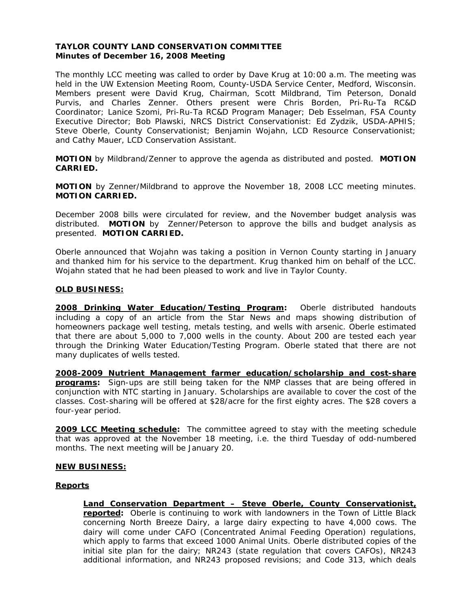### **TAYLOR COUNTY LAND CONSERVATION COMMITTEE Minutes of December 16, 2008 Meeting**

The monthly LCC meeting was called to order by Dave Krug at 10:00 a.m. The meeting was held in the UW Extension Meeting Room, County-USDA Service Center, Medford, Wisconsin. Members present were David Krug, Chairman, Scott Mildbrand, Tim Peterson, Donald Purvis, and Charles Zenner. Others present were Chris Borden, Pri-Ru-Ta RC&D Coordinator; Lanice Szomi, Pri-Ru-Ta RC&D Program Manager; Deb Esselman, FSA County Executive Director; Bob Plawski, NRCS District Conservationist: Ed Zydzik, USDA-APHIS; Steve Oberle, County Conservationist; Benjamin Wojahn, LCD Resource Conservationist; and Cathy Mauer, LCD Conservation Assistant.

**MOTION** by Mildbrand/Zenner to approve the agenda as distributed and posted. **MOTION CARRIED.**

**MOTION** by Zenner/Mildbrand to approve the November 18, 2008 LCC meeting minutes. **MOTION CARRIED.** 

December 2008 bills were circulated for review, and the November budget analysis was distributed. **MOTION** by Zenner/Peterson to approve the bills and budget analysis as presented. **MOTION CARRIED.**

Oberle announced that Wojahn was taking a position in Vernon County starting in January and thanked him for his service to the department. Krug thanked him on behalf of the LCC. Wojahn stated that he had been pleased to work and live in Taylor County.

### **OLD BUSINESS:**

**2008 Drinking Water Education/Testing Program:** Oberle distributed handouts including a copy of an article from the *Star News* and maps showing distribution of homeowners package well testing, metals testing, and wells with arsenic. Oberle estimated that there are about 5,000 to 7,000 wells in the county. About 200 are tested each year through the Drinking Water Education/Testing Program. Oberle stated that there are not many duplicates of wells tested.

**2008-2009 Nutrient Management farmer education/scholarship and cost-share programs:** Sign-ups are still being taken for the NMP classes that are being offered in conjunction with NTC starting in January. Scholarships are available to cover the cost of the classes. Cost-sharing will be offered at \$28/acre for the first eighty acres. The \$28 covers a four-year period.

**2009 LCC Meeting schedule:** The committee agreed to stay with the meeting schedule that was approved at the November 18 meeting, i.e. the third Tuesday of odd-numbered months. The next meeting will be January 20.

#### **NEW BUSINESS:**

## **Reports**

**Land Conservation Department – Steve Oberle, County Conservationist, reported:** Oberle is continuing to work with landowners in the Town of Little Black concerning North Breeze Dairy, a large dairy expecting to have 4,000 cows. The dairy will come under CAFO (Concentrated Animal Feeding Operation) regulations, which apply to farms that exceed 1000 Animal Units. Oberle distributed copies of the initial site plan for the dairy; NR243 (state regulation that covers CAFOs), NR243 additional information, and NR243 proposed revisions; and Code 313, which deals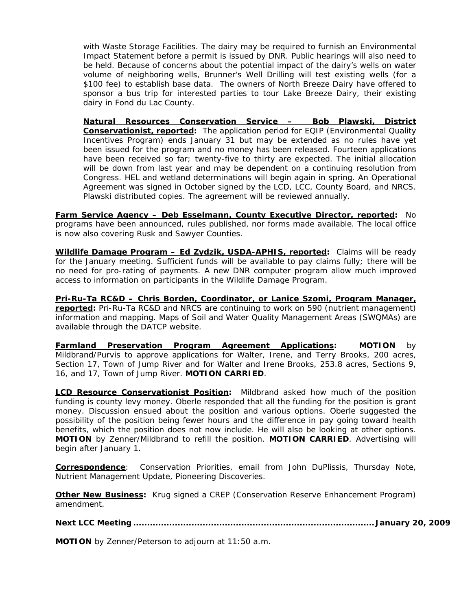with Waste Storage Facilities. The dairy may be required to furnish an Environmental Impact Statement before a permit is issued by DNR. Public hearings will also need to be held. Because of concerns about the potential impact of the dairy's wells on water volume of neighboring wells, Brunner's Well Drilling will test existing wells (for a \$100 fee) to establish base data. The owners of North Breeze Dairy have offered to sponsor a bus trip for interested parties to tour Lake Breeze Dairy, their existing dairy in Fond du Lac County.

**Natural Resources Conservation Service – Bob Plawski, District Conservationist, reported:** The application period for EQIP (Environmental Quality Incentives Program) ends January 31 but may be extended as no rules have yet been issued for the program and no money has been released. Fourteen applications have been received so far; twenty-five to thirty are expected. The initial allocation will be down from last year and may be dependent on a continuing resolution from Congress. HEL and wetland determinations will begin again in spring. An Operational Agreement was signed in October signed by the LCD, LCC, County Board, and NRCS. Plawski distributed copies. The agreement will be reviewed annually.

**Farm Service Agency – Deb Esselmann, County Executive Director, reported:** No programs have been announced, rules published, nor forms made available. The local office is now also covering Rusk and Sawyer Counties.

**Wildlife Damage Program – Ed Zydzik, USDA-APHIS, reported:** Claims will be ready for the January meeting. Sufficient funds will be available to pay claims fully; there will be no need for pro-rating of payments. A new DNR computer program allow much improved access to information on participants in the Wildlife Damage Program.

**Pri-Ru-Ta RC&D – Chris Borden, Coordinator, or Lanice Szomi, Program Manager, reported:** Pri-Ru-Ta RC&D and NRCS are continuing to work on 590 (nutrient management) information and mapping. Maps of Soil and Water Quality Management Areas (SWQMAs) are available through the DATCP website.

**Farmland Preservation Program Agreement Applications: MOTION** by Mildbrand/Purvis to approve applications for Walter, Irene, and Terry Brooks, 200 acres, Section 17, Town of Jump River and for Walter and Irene Brooks, 253.8 acres, Sections 9, 16, and 17, Town of Jump River. **MOTION CARRIED**.

**LCD Resource Conservationist Position:** Mildbrand asked how much of the position funding is county levy money. Oberle responded that all the funding for the position is grant money. Discussion ensued about the position and various options. Oberle suggested the possibility of the position being fewer hours and the difference in pay going toward health benefits, which the position does not now include. He will also be looking at other options. **MOTION** by Zenner/Mildbrand to refill the position. **MOTION CARRIED**. Advertising will begin after January 1.

**Correspondence**: Conservation Priorities, email from John DuPlissis, Thursday Note, Nutrient Management Update, Pioneering Discoveries.

**Other New Business:** Krug signed a CREP (Conservation Reserve Enhancement Program) amendment.

**Next LCC Meeting ....................................................................................... January 20, 2009** 

**MOTION** by Zenner/Peterson to adjourn at 11:50 a.m.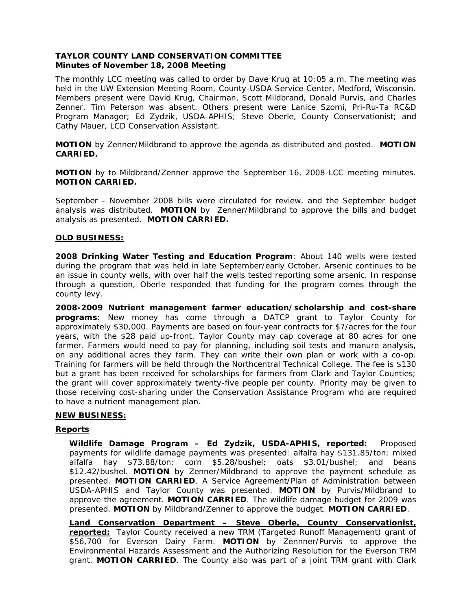### **TAYLOR COUNTY LAND CONSERVATION COMMITTEE Minutes of November 18, 2008 Meeting**

The monthly LCC meeting was called to order by Dave Krug at 10:05 a.m. The meeting was held in the UW Extension Meeting Room, County-USDA Service Center, Medford, Wisconsin. Members present were David Krug, Chairman, Scott Mildbrand, Donald Purvis, and Charles Zenner. Tim Peterson was absent. Others present were Lanice Szomi, Pri-Ru-Ta RC&D Program Manager; Ed Zydzik, USDA-APHIS; Steve Oberle, County Conservationist; and Cathy Mauer, LCD Conservation Assistant.

**MOTION** by Zenner/Mildbrand to approve the agenda as distributed and posted. **MOTION CARRIED.**

**MOTION** by to Mildbrand/Zenner approve the September 16, 2008 LCC meeting minutes. **MOTION CARRIED.** 

September - November 2008 bills were circulated for review, and the September budget analysis was distributed. **MOTION** by Zenner/Mildbrand to approve the bills and budget analysis as presented. **MOTION CARRIED.**

### **OLD BUSINESS:**

**2008 Drinking Water Testing and Education Program**: About 140 wells were tested during the program that was held in late September/early October. Arsenic continues to be an issue in county wells, with over half the wells tested reporting some arsenic. In response through a question, Oberle responded that funding for the program comes through the county levy.

**2008-2009 Nutrient management farmer education/scholarship and cost-share programs**: New money has come through a DATCP grant to Taylor County for approximately \$30,000. Payments are based on four-year contracts for \$7/acres for the four years, with the \$28 paid up-front. Taylor County may cap coverage at 80 acres for one farmer. Farmers would need to pay for planning, including soil tests and manure analysis, on any additional acres they farm. They can write their own plan or work with a co-op. Training for farmers will be held through the Northcentral Technical College. The fee is \$130 but a grant has been received for scholarships for farmers from Clark and Taylor Counties; the grant will cover approximately twenty-five people per county. Priority may be given to those receiving cost-sharing under the Conservation Assistance Program who are required to have a nutrient management plan.

## **NEW BUSINESS:**

## **Reports**

**Wildlife Damage Program – Ed Zydzik, USDA-APHIS, reported:** Proposed payments for wildlife damage payments was presented: alfalfa hay \$131.85/ton; mixed alfalfa hay \$73.88/ton; corn \$5.28/bushel; oats \$3.01/bushel; and beans \$12.42/bushel. **MOTION** by Zenner/Mildbrand to approve the payment schedule as presented. **MOTION CARRIED**. A Service Agreement/Plan of Administration between USDA-APHIS and Taylor County was presented. **MOTION** by Purvis/Mildbrand to approve the agreement. **MOTION CARRIED**. The wildlife damage budget for 2009 was presented. **MOTION** by Mildbrand/Zenner to approve the budget. **MOTION CARRIED**.

**Land Conservation Department – Steve Oberle, County Conservationist, reported:** Taylor County received a new TRM (Targeted Runoff Management) grant of \$56,700 for Everson Dairy Farm. **MOTION** by Zennner/Purvis to approve the Environmental Hazards Assessment and the Authorizing Resolution for the Everson TRM grant. **MOTION CARRIED**. The County also was part of a joint TRM grant with Clark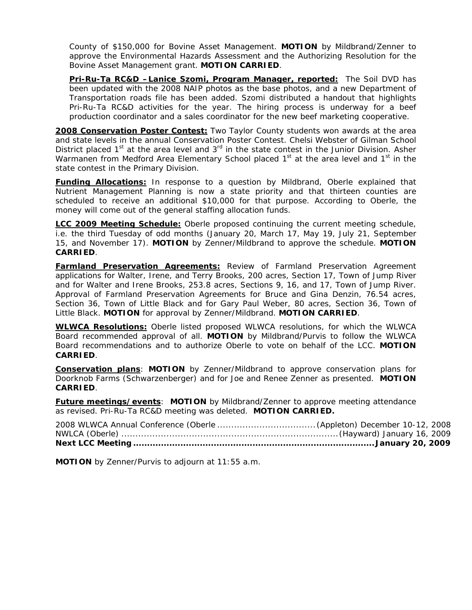County of \$150,000 for Bovine Asset Management. **MOTION** by Mildbrand/Zenner to approve the Environmental Hazards Assessment and the Authorizing Resolution for the Bovine Asset Management grant. **MOTION CARRIED**.

**Pri-Ru-Ta RC&D –Lanice Szomi, Program Manager, reported:** The Soil DVD has been updated with the 2008 NAIP photos as the base photos, and a new Department of Transportation roads file has been added. Szomi distributed a handout that highlights Pri-Ru-Ta RC&D activities for the year. The hiring process is underway for a beef production coordinator and a sales coordinator for the new beef marketing cooperative.

**2008 Conservation Poster Contest:** Two Taylor County students won awards at the area and state levels in the annual Conservation Poster Contest. Chelsi Webster of Gilman School District placed  $1<sup>st</sup>$  at the area level and  $3<sup>rd</sup>$  in the state contest in the Junior Division. Asher Warmanen from Medford Area Elementary School placed  $1<sup>st</sup>$  at the area level and  $1<sup>st</sup>$  in the state contest in the Primary Division.

**Funding Allocations:** In response to a question by Mildbrand, Oberle explained that Nutrient Management Planning is now a state priority and that thirteen counties are scheduled to receive an additional \$10,000 for that purpose. According to Oberle, the money will come out of the general staffing allocation funds.

**LCC 2009 Meeting Schedule:** Oberle proposed continuing the current meeting schedule, i.e. the third Tuesday of odd months (January 20, March 17, May 19, July 21, September 15, and November 17). **MOTION** by Zenner/Mildbrand to approve the schedule. **MOTION CARRIED**.

**Farmland Preservation Agreements:** Review of Farmland Preservation Agreement applications for Walter, Irene, and Terry Brooks, 200 acres, Section 17, Town of Jump River and for Walter and Irene Brooks, 253.8 acres, Sections 9, 16, and 17, Town of Jump River. Approval of Farmland Preservation Agreements for Bruce and Gina Denzin, 76.54 acres, Section 36, Town of Little Black and for Gary Paul Weber, 80 acres, Section 36, Town of Little Black. **MOTION** for approval by Zenner/Mildbrand. **MOTION CARRIED**.

**WLWCA Resolutions:** Oberle listed proposed WLWCA resolutions, for which the WLWCA Board recommended approval of all. **MOTION** by Mildbrand/Purvis to follow the WLWCA Board recommendations and to authorize Oberle to vote on behalf of the LCC. **MOTION CARRIED**.

**Conservation plans**: **MOTION** by Zenner/Mildbrand to approve conservation plans for Doorknob Farms (Schwarzenberger) and for Joe and Renee Zenner as presented. **MOTION CARRIED**.

**Future meetings/events: MOTION** by Mildbrand/Zenner to approve meeting attendance as revised. Pri-Ru-Ta RC&D meeting was deleted. **MOTION CARRIED.** 

**MOTION** by Zenner/Purvis to adjourn at 11:55 a.m.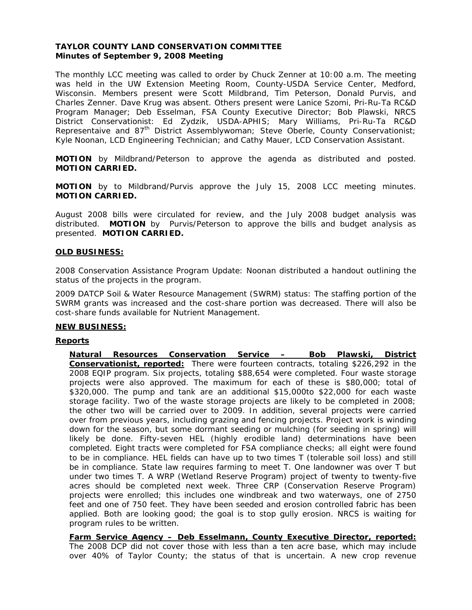### **TAYLOR COUNTY LAND CONSERVATION COMMITTEE Minutes of September 9, 2008 Meeting**

The monthly LCC meeting was called to order by Chuck Zenner at 10:00 a.m. The meeting was held in the UW Extension Meeting Room, County-USDA Service Center, Medford, Wisconsin. Members present were Scott Mildbrand, Tim Peterson, Donald Purvis, and Charles Zenner. Dave Krug was absent. Others present were Lanice Szomi, Pri-Ru-Ta RC&D Program Manager; Deb Esselman, FSA County Executive Director; Bob Plawski, NRCS District Conservationist: Ed Zydzik, USDA-APHIS; Mary Williams, Pri-Ru-Ta RC&D Representaive and 87<sup>th</sup> District Assemblywoman; Steve Oberle, County Conservationist; Kyle Noonan, LCD Engineering Technician; and Cathy Mauer, LCD Conservation Assistant.

**MOTION** by Mildbrand/Peterson to approve the agenda as distributed and posted. **MOTION CARRIED.**

**MOTION** by to Mildbrand/Purvis approve the July 15, 2008 LCC meeting minutes. **MOTION CARRIED.** 

August 2008 bills were circulated for review, and the July 2008 budget analysis was distributed. **MOTION** by Purvis/Peterson to approve the bills and budget analysis as presented. **MOTION CARRIED.**

### **OLD BUSINESS:**

2008 Conservation Assistance Program Update: Noonan distributed a handout outlining the status of the projects in the program.

2009 DATCP Soil & Water Resource Management (SWRM) status: The staffing portion of the SWRM grants was increased and the cost-share portion was decreased. There will also be cost-share funds available for Nutrient Management.

#### **NEW BUSINESS:**

#### **Reports**

**Natural Resources Conservation Service – Bob Plawski, District Conservationist, reported:** There were fourteen contracts, totaling \$226,292 in the 2008 EQIP program. Six projects, totaling \$88,654 were completed. Four waste storage projects were also approved. The maximum for each of these is \$80,000; total of \$320,000. The pump and tank are an additional \$15,000to \$22,000 for each waste storage facility. Two of the waste storage projects are likely to be completed in 2008; the other two will be carried over to 2009. In addition, several projects were carried over from previous years, including grazing and fencing projects. Project work is winding down for the season, but some dormant seeding or mulching (for seeding in spring) will likely be done. Fifty-seven HEL (highly erodible land) determinations have been completed. Eight tracts were completed for FSA compliance checks; all eight were found to be in compliance. HEL fields can have up to two times T (tolerable soil loss) and still be in compliance. State law requires farming to meet T. One landowner was over T but under two times T. A WRP (Wetland Reserve Program) project of twenty to twenty-five acres should be completed next week. Three CRP (Conservation Reserve Program) projects were enrolled; this includes one windbreak and two waterways, one of 2750 feet and one of 750 feet. They have been seeded and erosion controlled fabric has been applied. Both are looking good; the goal is to stop gully erosion. NRCS is waiting for program rules to be written.

**Farm Service Agency – Deb Esselmann, County Executive Director, reported:**  The 2008 DCP did not cover those with less than a ten acre base, which may include over 40% of Taylor County; the status of that is uncertain. A new crop revenue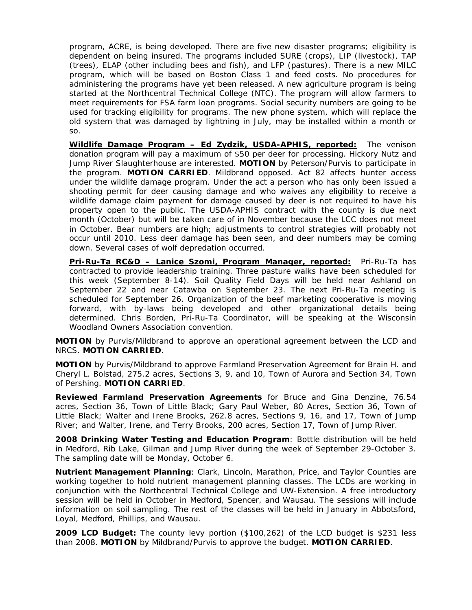program, ACRE, is being developed. There are five new disaster programs; eligibility is dependent on being insured. The programs included SURE (crops), LIP (livestock), TAP (trees), ELAP (other including bees and fish), and LFP (pastures). There is a new MILC program, which will be based on Boston Class 1 and feed costs. No procedures for administering the programs have yet been released. A new agriculture program is being started at the Northcentral Technical College (NTC). The program will allow farmers to meet requirements for FSA farm loan programs. Social security numbers are going to be used for tracking eligibility for programs. The new phone system, which will replace the old system that was damaged by lightning in July, may be installed within a month or so.

**Wildlife Damage Program – Ed Zydzik, USDA-APHIS, reported:** The venison donation program will pay a maximum of \$50 per deer for processing. Hickory Nutz and Jump River Slaughterhouse are interested. **MOTION** by Peterson/Purvis to participate in the program. **MOTION CARRIED**. Mildbrand opposed. Act 82 affects hunter access under the wildlife damage program. Under the act a person who has only been issued a shooting permit for deer causing damage and who waives any eligibility to receive a wildlife damage claim payment for damage caused by deer is not required to have his property open to the public. The USDA-APHIS contract with the county is due next month (October) but will be taken care of in November because the LCC does not meet in October. Bear numbers are high; adjustments to control strategies will probably not occur until 2010. Less deer damage has been seen, and deer numbers may be coming down. Several cases of wolf depredation occurred.

**Pri-Ru-Ta RC&D – Lanice Szomi, Program Manager, reported:** Pri-Ru-Ta has contracted to provide leadership training. Three pasture walks have been scheduled for this week (September 8-14). Soil Quality Field Days will be held near Ashland on September 22 and near Catawba on September 23. The next Pri-Ru-Ta meeting is scheduled for September 26. Organization of the beef marketing cooperative is moving forward, with by-laws being developed and other organizational details being determined. Chris Borden, Pri-Ru-Ta Coordinator, will be speaking at the Wisconsin Woodland Owners Association convention.

**MOTION** by Purvis/Mildbrand to approve an operational agreement between the LCD and NRCS. **MOTION CARRIED**.

**MOTION** by Purvis/Mildbrand to approve Farmland Preservation Agreement for Brain H. and Cheryl L. Bolstad, 275.2 acres, Sections 3, 9, and 10, Town of Aurora and Section 34, Town of Pershing. **MOTION CARRIED**.

**Reviewed Farmland Preservation Agreements** for Bruce and Gina Denzine, 76.54 acres, Section 36, Town of Little Black; Gary Paul Weber, 80 Acres, Section 36, Town of Little Black; Walter and Irene Brooks, 262.8 acres, Sections 9, 16, and 17, Town of Jump River; and Walter, Irene, and Terry Brooks, 200 acres, Section 17, Town of Jump River.

**2008 Drinking Water Testing and Education Program**: Bottle distribution will be held in Medford, Rib Lake, Gilman and Jump River during the week of September 29-October 3. The sampling date will be Monday, October 6.

**Nutrient Management Planning**: Clark, Lincoln, Marathon, Price, and Taylor Counties are working together to hold nutrient management planning classes. The LCDs are working in conjunction with the Northcentral Technical College and UW-Extension. A free introductory session will be held in October in Medford, Spencer, and Wausau. The sessions will include information on soil sampling. The rest of the classes will be held in January in Abbotsford, Loyal, Medford, Phillips, and Wausau.

**2009 LCD Budget:** The county levy portion (\$100,262) of the LCD budget is \$231 less than 2008. **MOTION** by Mildbrand/Purvis to approve the budget. **MOTION CARRIED**.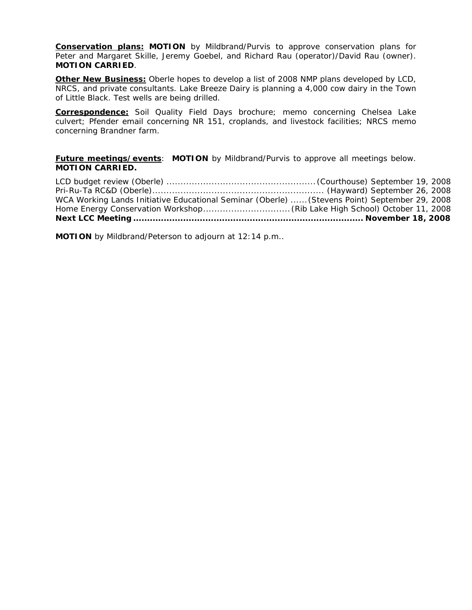**Conservation plans: MOTION** by Mildbrand/Purvis to approve conservation plans for Peter and Margaret Skille, Jeremy Goebel, and Richard Rau (operator)/David Rau (owner). **MOTION CARRIED**.

**Other New Business:** Oberle hopes to develop a list of 2008 NMP plans developed by LCD, NRCS, and private consultants. Lake Breeze Dairy is planning a 4,000 cow dairy in the Town of Little Black. Test wells are being drilled.

**Correspondence:** Soil Quality Field Days brochure; memo concerning Chelsea Lake culvert; Pfender email concerning NR 151, croplands, and livestock facilities; NRCS memo concerning Brandner farm.

**Future meetings/events**: **MOTION** by Mildbrand/Purvis to approve all meetings below. **MOTION CARRIED.** 

| WCA Working Lands Initiative Educational Seminar (Oberle)  (Stevens Point) September 29, 2008 |  |
|-----------------------------------------------------------------------------------------------|--|
|                                                                                               |  |
|                                                                                               |  |

**MOTION** by Mildbrand/Peterson to adjourn at 12:14 p.m..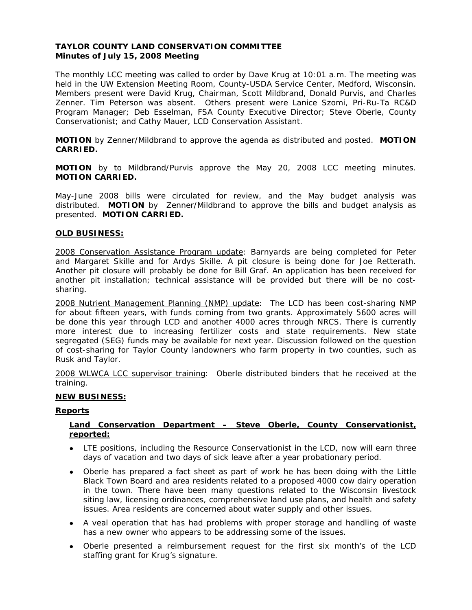## **TAYLOR COUNTY LAND CONSERVATION COMMITTEE Minutes of July 15, 2008 Meeting**

The monthly LCC meeting was called to order by Dave Krug at 10:01 a.m. The meeting was held in the UW Extension Meeting Room, County-USDA Service Center, Medford, Wisconsin. Members present were David Krug, Chairman, Scott Mildbrand, Donald Purvis, and Charles Zenner. Tim Peterson was absent. Others present were Lanice Szomi, Pri-Ru-Ta RC&D Program Manager; Deb Esselman, FSA County Executive Director; Steve Oberle, County Conservationist; and Cathy Mauer, LCD Conservation Assistant.

**MOTION** by Zenner/Mildbrand to approve the agenda as distributed and posted. **MOTION CARRIED.**

**MOTION** by to Mildbrand/Purvis approve the May 20, 2008 LCC meeting minutes. **MOTION CARRIED.** 

May-June 2008 bills were circulated for review, and the May budget analysis was distributed. **MOTION** by Zenner/Mildbrand to approve the bills and budget analysis as presented. **MOTION CARRIED.**

### **OLD BUSINESS:**

2008 Conservation Assistance Program update: Barnyards are being completed for Peter and Margaret Skille and for Ardys Skille. A pit closure is being done for Joe Retterath. Another pit closure will probably be done for Bill Graf. An application has been received for another pit installation; technical assistance will be provided but there will be no costsharing.

2008 Nutrient Management Planning (NMP) update: The LCD has been cost-sharing NMP for about fifteen years, with funds coming from two grants. Approximately 5600 acres will be done this year through LCD and another 4000 acres through NRCS. There is currently more interest due to increasing fertilizer costs and state requirements. New state segregated (SEG) funds may be available for next year. Discussion followed on the question of cost-sharing for Taylor County landowners who farm property in two counties, such as Rusk and Taylor.

2008 WLWCA LCC supervisor training: Oberle distributed binders that he received at the training.

#### **NEW BUSINESS:**

#### **Reports**

### **Land Conservation Department – Steve Oberle, County Conservationist, reported:**

- LTE positions, including the Resource Conservationist in the LCD, now will earn three days of vacation and two days of sick leave after a year probationary period.
- Oberle has prepared a fact sheet as part of work he has been doing with the Little Black Town Board and area residents related to a proposed 4000 cow dairy operation in the town. There have been many questions related to the Wisconsin livestock siting law, licensing ordinances, comprehensive land use plans, and health and safety issues. Area residents are concerned about water supply and other issues.
- A veal operation that has had problems with proper storage and handling of waste has a new owner who appears to be addressing some of the issues.
- Oberle presented a reimbursement request for the first six month's of the LCD staffing grant for Krug's signature.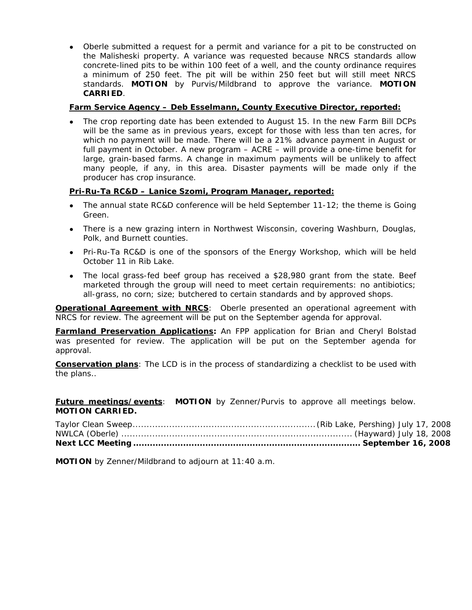• Oberle submitted a request for a permit and variance for a pit to be constructed on the Malisheski property. A variance was requested because NRCS standards allow concrete-lined pits to be within 100 feet of a well, and the county ordinance requires a minimum of 250 feet. The pit will be within 250 feet but will still meet NRCS standards. **MOTION** by Purvis/Mildbrand to approve the variance. **MOTION CARRIED**.

# **Farm Service Agency – Deb Esselmann, County Executive Director, reported:**

The crop reporting date has been extended to August 15. In the new Farm Bill DCPs will be the same as in previous years, except for those with less than ten acres, for which no payment will be made. There will be a 21% advance payment in August or full payment in October. A new program – ACRE – will provide a one-time benefit for large, grain-based farms. A change in maximum payments will be unlikely to affect many people, if any, in this area. Disaster payments will be made only if the producer has crop insurance.

# **Pri-Ru-Ta RC&D – Lanice Szomi, Program Manager, reported:**

- The annual state RC&D conference will be held September 11-12; the theme is Going Green.
- There is a new grazing intern in Northwest Wisconsin, covering Washburn, Douglas, Polk, and Burnett counties.
- Pri-Ru-Ta RC&D is one of the sponsors of the Energy Workshop, which will be held October 11 in Rib Lake.
- The local grass-fed beef group has received a \$28,980 grant from the state. Beef marketed through the group will need to meet certain requirements: no antibiotics; all-grass, no corn; size; butchered to certain standards and by approved shops.

**Operational Agreement with NRCS:** Oberle presented an operational agreement with NRCS for review. The agreement will be put on the September agenda for approval.

**Farmland Preservation Applications:** An FPP application for Brian and Cheryl Bolstad was presented for review. The application will be put on the September agenda for approval.

**Conservation plans**: The LCD is in the process of standardizing a checklist to be used with the plans..

**Future meetings/events**: **MOTION** by Zenner/Purvis to approve all meetings below. **MOTION CARRIED.** 

**MOTION** by Zenner/Mildbrand to adjourn at 11:40 a.m.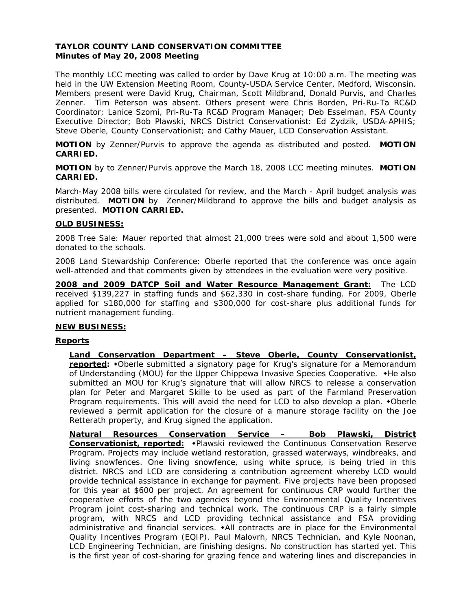## **TAYLOR COUNTY LAND CONSERVATION COMMITTEE Minutes of May 20, 2008 Meeting**

The monthly LCC meeting was called to order by Dave Krug at 10:00 a.m. The meeting was held in the UW Extension Meeting Room, County-USDA Service Center, Medford, Wisconsin. Members present were David Krug, Chairman, Scott Mildbrand, Donald Purvis, and Charles Zenner. Tim Peterson was absent. Others present were Chris Borden, Pri-Ru-Ta RC&D Coordinator; Lanice Szomi, Pri-Ru-Ta RC&D Program Manager; Deb Esselman, FSA County Executive Director; Bob Plawski, NRCS District Conservationist: Ed Zydzik, USDA-APHIS; Steve Oberle, County Conservationist; and Cathy Mauer, LCD Conservation Assistant.

**MOTION** by Zenner/Purvis to approve the agenda as distributed and posted. **MOTION CARRIED.**

**MOTION** by to Zenner/Purvis approve the March 18, 2008 LCC meeting minutes. **MOTION CARRIED.** 

March-May 2008 bills were circulated for review, and the March - April budget analysis was distributed. **MOTION** by Zenner/Mildbrand to approve the bills and budget analysis as presented. **MOTION CARRIED.**

### **OLD BUSINESS:**

2008 Tree Sale: Mauer reported that almost 21,000 trees were sold and about 1,500 were donated to the schools.

2008 Land Stewardship Conference: Oberle reported that the conference was once again well-attended and that comments given by attendees in the evaluation were very positive.

**2008 and 2009 DATCP Soil and Water Resource Management Grant:** The LCD received \$139,227 in staffing funds and \$62,330 in cost-share funding. For 2009, Oberle applied for \$180,000 for staffing and \$300,000 for cost-share plus additional funds for nutrient management funding.

## **NEW BUSINESS:**

## **Reports**

**Land Conservation Department – Steve Oberle, County Conservationist,**  reported: \*Oberle submitted a signatory page for Krug's signature for a Memorandum of Understanding (MOU) for the Upper Chippewa Invasive Species Cooperative.  $\bullet$ He also submitted an MOU for Krug's signature that will allow NRCS to release a conservation plan for Peter and Margaret Skille to be used as part of the Farmland Preservation Program requirements. This will avoid the need for LCD to also develop a plan.  $\bullet$ Oberle reviewed a permit application for the closure of a manure storage facility on the Joe Retterath property, and Krug signed the application.

**Natural Resources Conservation Service – Bob Plawski, District Conservationist, reported:** Plawski reviewed the Continuous Conservation Reserve Program. Projects may include wetland restoration, grassed waterways, windbreaks, and living snowfences. One living snowfence, using white spruce, is being tried in this district. NRCS and LCD are considering a contribution agreement whereby LCD would provide technical assistance in exchange for payment. Five projects have been proposed for this year at \$600 per project. An agreement for continuous CRP would further the cooperative efforts of the two agencies beyond the Environmental Quality Incentives Program joint cost-sharing and technical work. The continuous CRP is a fairly simple program, with NRCS and LCD providing technical assistance and FSA providing administrative and financial services.  $\star$ All contracts are in place for the Environmental Quality Incentives Program (EQIP). Paul Malovrh, NRCS Technician, and Kyle Noonan, LCD Engineering Technician, are finishing designs. No construction has started yet. This is the first year of cost-sharing for grazing fence and watering lines and discrepancies in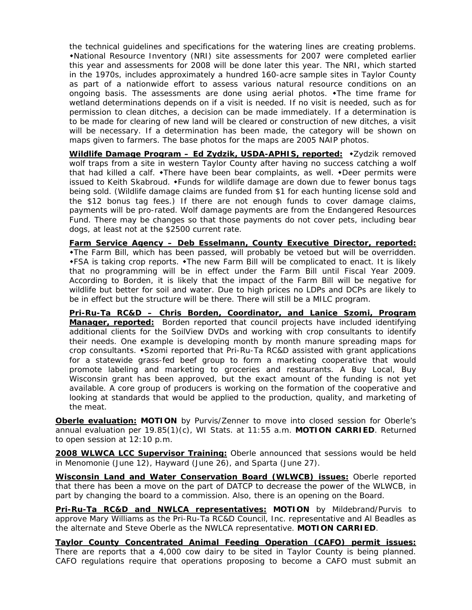the technical guidelines and specifications for the watering lines are creating problems. National Resource Inventory (NRI) site assessments for 2007 were completed earlier this year and assessments for 2008 will be done later this year. The NRI, which started in the 1970s, includes approximately a hundred 160-acre sample sites in Taylor County as part of a nationwide effort to assess various natural resource conditions on an ongoing basis. The assessments are done using aerial photos.  $\bullet$ The time frame for wetland determinations depends on if a visit is needed. If no visit is needed, such as for permission to clean ditches, a decision can be made immediately. If a determination is to be made for clearing of new land will be cleared or construction of new ditches, a visit will be necessary. If a determination has been made, the category will be shown on maps given to farmers. The base photos for the maps are 2005 NAIP photos.

Wildlife Damage Program - Ed Zydzik, USDA-APHIS, reported: \*Zydzik removed wolf traps from a site in western Taylor County after having no success catching a wolf that had killed a calf.  $\triangle$ There have been bear complaints, as well.  $\triangle$ Deer permits were issued to Keith Skabroud. • Funds for wildlife damage are down due to fewer bonus tags being sold. (Wildlife damage claims are funded from \$1 for each hunting license sold and the \$12 bonus tag fees.) If there are not enough funds to cover damage claims, payments will be pro-rated. Wolf damage payments are from the Endangered Resources Fund. There may be changes so that those payments do not cover pets, including bear dogs, at least not at the \$2500 current rate.

**Farm Service Agency – Deb Esselmann, County Executive Director, reported:** The Farm Bill, which has been passed, will probably be vetoed but will be overridden.  $\star$  FSA is taking crop reports.  $\star$  The new Farm Bill will be complicated to enact. It is likely that no programming will be in effect under the Farm Bill until Fiscal Year 2009. According to Borden, it is likely that the impact of the Farm Bill will be negative for wildlife but better for soil and water. Due to high prices no LDPs and DCPs are likely to be in effect but the structure will be there. There will still be a MILC program.

**Pri-Ru-Ta RC&D – Chris Borden, Coordinator, and Lanice Szomi, Program Manager, reported:** Borden reported that council projects have included identifying additional clients for the SoilView DVDs and working with crop consultants to identify their needs. One example is developing month by month manure spreading maps for crop consultants. • Szomi reported that Pri-Ru-Ta RC&D assisted with grant applications for a statewide grass-fed beef group to form a marketing cooperative that would promote labeling and marketing to groceries and restaurants. A Buy Local, Buy Wisconsin grant has been approved, but the exact amount of the funding is not yet available. A core group of producers is working on the formation of the cooperative and looking at standards that would be applied to the production, quality, and marketing of the meat.

**Oberle evaluation: MOTION** by Purvis/Zenner to move into closed session for Oberle's annual evaluation per 19.85(1)(c), WI Stats. at 11:55 a.m. **MOTION CARRIED**. Returned to open session at 12:10 p.m.

**2008 WLWCA LCC Supervisor Training:** Oberle announced that sessions would be held in Menomonie (June 12), Hayward (June 26), and Sparta (June 27).

**Wisconsin Land and Water Conservation Board (WLWCB) issues:** Oberle reported that there has been a move on the part of DATCP to decrease the power of the WLWCB, in part by changing the board to a commission. Also, there is an opening on the Board.

**Pri-Ru-Ta RC&D and NWLCA representatives: MOTION** by Mildebrand/Purvis to approve Mary Williams as the Pri-Ru-Ta RC&D Council, Inc. representative and Al Beadles as the alternate and Steve Oberle as the NWLCA representative. **MOTION CARRIED**.

**Taylor County Concentrated Animal Feeding Operation (CAFO) permit issues:** There are reports that a 4,000 cow dairy to be sited in Taylor County is being planned. CAFO regulations require that operations proposing to become a CAFO must submit an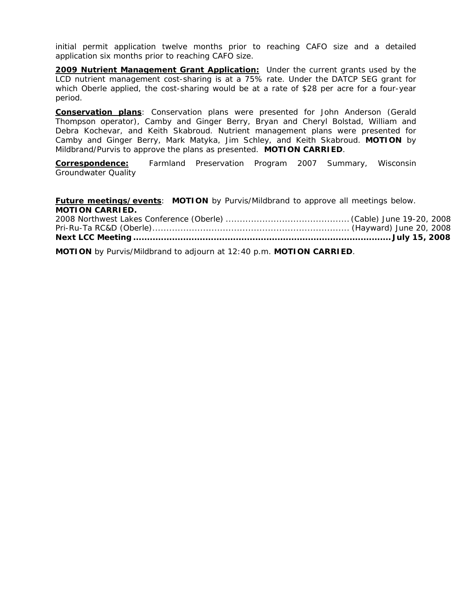initial permit application twelve months prior to reaching CAFO size and a detailed application six months prior to reaching CAFO size.

**2009 Nutrient Management Grant Application:** Under the current grants used by the LCD nutrient management cost-sharing is at a 75% rate. Under the DATCP SEG grant for which Oberle applied, the cost-sharing would be at a rate of \$28 per acre for a four-year period.

**Conservation plans**: Conservation plans were presented for John Anderson (Gerald Thompson operator), Camby and Ginger Berry, Bryan and Cheryl Bolstad, William and Debra Kochevar, and Keith Skabroud. Nutrient management plans were presented for Camby and Ginger Berry, Mark Matyka, Jim Schley, and Keith Skabroud. **MOTION** by Mildbrand/Purvis to approve the plans as presented. **MOTION CARRIED**.

**Correspondence:** Farmland Preservation Program 2007 Summary, Wisconsin Groundwater Quality

**Future meetings/events**: **MOTION** by Purvis/Mildbrand to approve all meetings below. **MOTION CARRIED.** 

**MOTION** by Purvis/Mildbrand to adjourn at 12:40 p.m. **MOTION CARRIED**.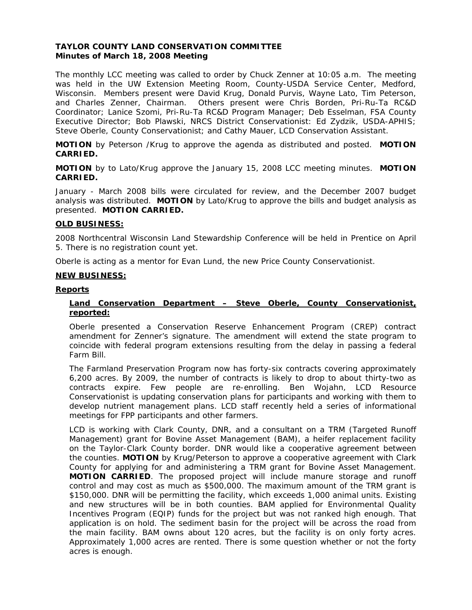## **TAYLOR COUNTY LAND CONSERVATION COMMITTEE Minutes of March 18, 2008 Meeting**

The monthly LCC meeting was called to order by Chuck Zenner at 10:05 a.m. The meeting was held in the UW Extension Meeting Room, County-USDA Service Center, Medford, Wisconsin. Members present were David Krug, Donald Purvis, Wayne Lato, Tim Peterson, and Charles Zenner, Chairman. Others present were Chris Borden, Pri-Ru-Ta RC&D Coordinator; Lanice Szomi, Pri-Ru-Ta RC&D Program Manager; Deb Esselman, FSA County Executive Director; Bob Plawski, NRCS District Conservationist: Ed Zydzik, USDA-APHIS; Steve Oberle, County Conservationist; and Cathy Mauer, LCD Conservation Assistant.

**MOTION** by Peterson /Krug to approve the agenda as distributed and posted. **MOTION CARRIED.**

**MOTION** by to Lato/Krug approve the January 15, 2008 LCC meeting minutes. **MOTION CARRIED.** 

January - March 2008 bills were circulated for review, and the December 2007 budget analysis was distributed. **MOTION** by Lato/Krug to approve the bills and budget analysis as presented. **MOTION CARRIED.**

### **OLD BUSINESS:**

2008 Northcentral Wisconsin Land Stewardship Conference will be held in Prentice on April 5. There is no registration count yet.

Oberle is acting as a mentor for Evan Lund, the new Price County Conservationist.

#### **NEW BUSINESS:**

#### **Reports**

### **Land Conservation Department – Steve Oberle, County Conservationist, reported:**

Oberle presented a Conservation Reserve Enhancement Program (CREP) contract amendment for Zenner's signature. The amendment will extend the state program to coincide with federal program extensions resulting from the delay in passing a federal Farm Bill.

The Farmland Preservation Program now has forty-six contracts covering approximately 6,200 acres. By 2009, the number of contracts is likely to drop to about thirty-two as contracts expire. Few people are re-enrolling. Ben Wojahn, LCD Resource Conservationist is updating conservation plans for participants and working with them to develop nutrient management plans. LCD staff recently held a series of informational meetings for FPP participants and other farmers.

LCD is working with Clark County, DNR, and a consultant on a TRM (Targeted Runoff Management) grant for Bovine Asset Management (BAM), a heifer replacement facility on the Taylor-Clark County border. DNR would like a cooperative agreement between the counties. **MOTION** by Krug/Peterson to approve a cooperative agreement with Clark County for applying for and administering a TRM grant for Bovine Asset Management. **MOTION CARRIED**. The proposed project will include manure storage and runoff control and may cost as much as \$500,000. The maximum amount of the TRM grant is \$150,000. DNR will be permitting the facility, which exceeds 1,000 animal units. Existing and new structures will be in both counties. BAM applied for Environmental Quality Incentives Program (EQIP) funds for the project but was not ranked high enough. That application is on hold. The sediment basin for the project will be across the road from the main facility. BAM owns about 120 acres, but the facility is on only forty acres. Approximately 1,000 acres are rented. There is some question whether or not the forty acres is enough.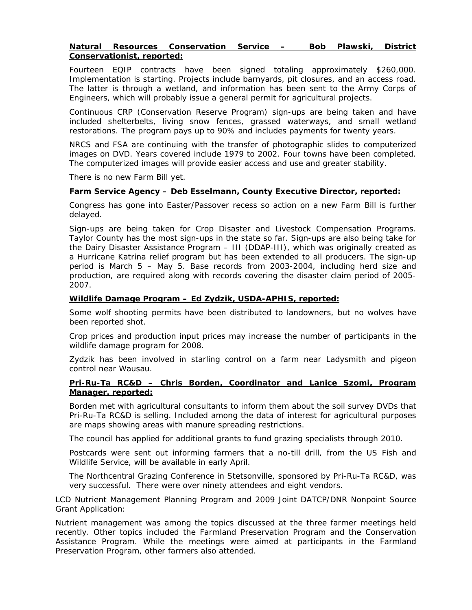### **Natural Resources Conservation Service – Bob Plawski, District Conservationist, reported:**

Fourteen EQIP contracts have been signed totaling approximately \$260,000. Implementation is starting. Projects include barnyards, pit closures, and an access road. The latter is through a wetland, and information has been sent to the Army Corps of Engineers, which will probably issue a general permit for agricultural projects.

Continuous CRP (Conservation Reserve Program) sign-ups are being taken and have included shelterbelts, living snow fences, grassed waterways, and small wetland restorations. The program pays up to 90% and includes payments for twenty years.

NRCS and FSA are continuing with the transfer of photographic slides to computerized images on DVD. Years covered include 1979 to 2002. Four towns have been completed. The computerized images will provide easier access and use and greater stability.

There is no new Farm Bill yet.

#### **Farm Service Agency – Deb Esselmann, County Executive Director, reported:**

Congress has gone into Easter/Passover recess so action on a new Farm Bill is further delayed.

Sign-ups are being taken for Crop Disaster and Livestock Compensation Programs. Taylor County has the most sign-ups in the state so far. Sign-ups are also being take for the Dairy Disaster Assistance Program – III (DDAP-III), which was originally created as a Hurricane Katrina relief program but has been extended to all producers. The sign-up period is March 5 – May 5. Base records from 2003-2004, including herd size and production, are required along with records covering the disaster claim period of 2005- 2007.

### **Wildlife Damage Program – Ed Zydzik, USDA-APHIS, reported:**

Some wolf shooting permits have been distributed to landowners, but no wolves have been reported shot.

Crop prices and production input prices may increase the number of participants in the wildlife damage program for 2008.

Zydzik has been involved in starling control on a farm near Ladysmith and pigeon control near Wausau.

### **Pri-Ru-Ta RC&D – Chris Borden, Coordinator and Lanice Szomi, Program Manager, reported:**

Borden met with agricultural consultants to inform them about the soil survey DVDs that Pri-Ru-Ta RC&D is selling. Included among the data of interest for agricultural purposes are maps showing areas with manure spreading restrictions.

The council has applied for additional grants to fund grazing specialists through 2010.

Postcards were sent out informing farmers that a no-till drill, from the US Fish and Wildlife Service, will be available in early April.

The Northcentral Grazing Conference in Stetsonville, sponsored by Pri-Ru-Ta RC&D, was very successful. There were over ninety attendees and eight vendors.

LCD Nutrient Management Planning Program and 2009 Joint DATCP/DNR Nonpoint Source Grant Application:

Nutrient management was among the topics discussed at the three farmer meetings held recently. Other topics included the Farmland Preservation Program and the Conservation Assistance Program. While the meetings were aimed at participants in the Farmland Preservation Program, other farmers also attended.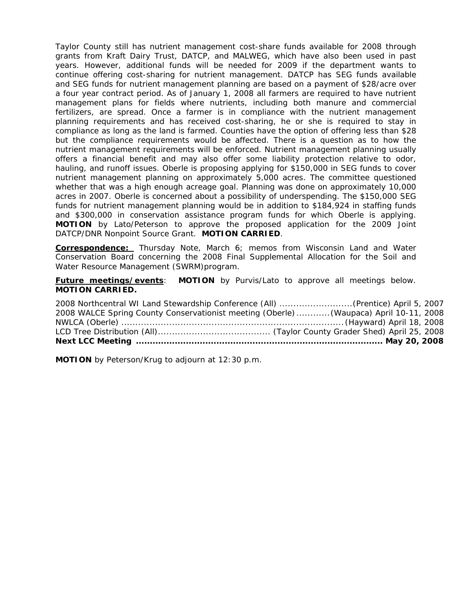Taylor County still has nutrient management cost-share funds available for 2008 through grants from Kraft Dairy Trust, DATCP, and MALWEG, which have also been used in past years. However, additional funds will be needed for 2009 if the department wants to continue offering cost-sharing for nutrient management. DATCP has SEG funds available and SEG funds for nutrient management planning are based on a payment of \$28/acre over a four year contract period. As of January 1, 2008 all farmers are required to have nutrient management plans for fields where nutrients, including both manure and commercial fertilizers, are spread. Once a farmer is in compliance with the nutrient management planning requirements and has received cost-sharing, he or she is required to stay in compliance as long as the land is farmed. Counties have the option of offering less than \$28 but the compliance requirements would be affected. There is a question as to how the nutrient management requirements will be enforced. Nutrient management planning usually offers a financial benefit and may also offer some liability protection relative to odor, hauling, and runoff issues. Oberle is proposing applying for \$150,000 in SEG funds to cover nutrient management planning on approximately 5,000 acres. The committee questioned whether that was a high enough acreage goal. Planning was done on approximately 10,000 acres in 2007. Oberle is concerned about a possibility of underspending. The \$150,000 SEG funds for nutrient management planning would be in addition to \$184,924 in staffing funds and \$300,000 in conservation assistance program funds for which Oberle is applying. **MOTION** by Lato/Peterson to approve the proposed application for the 2009 Joint DATCP/DNR Nonpoint Source Grant. **MOTION CARRIED**.

**Correspondence:** *Thursday Note*, March 6; memos from Wisconsin Land and Water Conservation Board concerning the 2008 Final Supplemental Allocation for the Soil and Water Resource Management (SWRM)program.

**Future meetings/events**: **MOTION** by Purvis/Lato to approve all meetings below. **MOTION CARRIED.** 

| 2008 WALCE Spring County Conservationist meeting (Oberle) (Waupaca) April 10-11, 2008 |  |
|---------------------------------------------------------------------------------------|--|
|                                                                                       |  |
|                                                                                       |  |
|                                                                                       |  |

**MOTION** by Peterson/Krug to adjourn at 12:30 p.m.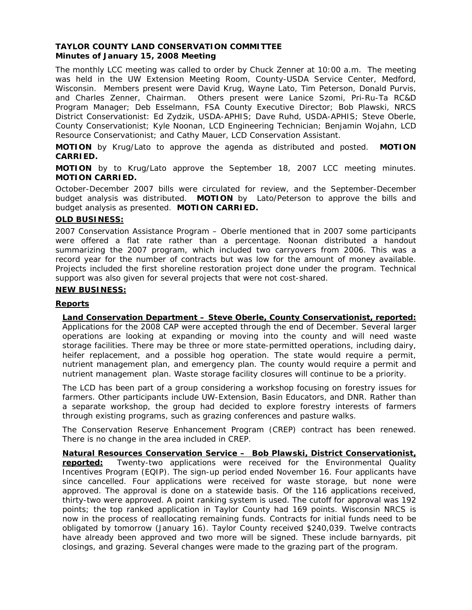### **TAYLOR COUNTY LAND CONSERVATION COMMITTEE Minutes of January 15, 2008 Meeting**

The monthly LCC meeting was called to order by Chuck Zenner at 10:00 a.m. The meeting was held in the UW Extension Meeting Room, County-USDA Service Center, Medford, Wisconsin. Members present were David Krug, Wayne Lato, Tim Peterson, Donald Purvis, and Charles Zenner, Chairman. Others present were Lanice Szomi, Pri-Ru-Ta RC&D Program Manager; Deb Esselmann, FSA County Executive Director; Bob Plawski, NRCS District Conservationist: Ed Zydzik, USDA-APHIS; Dave Ruhd, USDA-APHIS; Steve Oberle, County Conservationist; Kyle Noonan, LCD Engineering Technician; Benjamin Wojahn, LCD Resource Conservationist; and Cathy Mauer, LCD Conservation Assistant.

**MOTION** by Krug/Lato to approve the agenda as distributed and posted. **MOTION CARRIED.**

**MOTION** by to Krug/Lato approve the September 18, 2007 LCC meeting minutes. **MOTION CARRIED.** 

October-December 2007 bills were circulated for review, and the September-December budget analysis was distributed. **MOTION** by Lato/Peterson to approve the bills and budget analysis as presented. **MOTION CARRIED.**

## **OLD BUSINESS:**

2007 Conservation Assistance Program – Oberle mentioned that in 2007 some participants were offered a flat rate rather than a percentage. Noonan distributed a handout summarizing the 2007 program, which included two carryovers from 2006. This was a record year for the number of contracts but was low for the amount of money available. Projects included the first shoreline restoration project done under the program. Technical support was also given for several projects that were not cost-shared.

### **NEW BUSINESS:**

### **Reports**

**Land Conservation Department – Steve Oberle, County Conservationist, reported:** Applications for the 2008 CAP were accepted through the end of December. Several larger operations are looking at expanding or moving into the county and will need waste storage facilities. There may be three or more state-permitted operations, including dairy, heifer replacement, and a possible hog operation. The state would require a permit, nutrient management plan, and emergency plan. The county would require a permit and nutrient management plan. Waste storage facility closures will continue to be a priority.

The LCD has been part of a group considering a workshop focusing on forestry issues for farmers. Other participants include UW-Extension, Basin Educators, and DNR. Rather than a separate workshop, the group had decided to explore forestry interests of farmers through existing programs, such as grazing conferences and pasture walks.

The Conservation Reserve Enhancement Program (CREP) contract has been renewed. There is no change in the area included in CREP.

**Natural Resources Conservation Service – Bob Plawski, District Conservationist, reported:** Twenty-two applications were received for the Environmental Quality Incentives Program (EQIP). The sign-up period ended November 16. Four applicants have since cancelled. Four applications were received for waste storage, but none were approved. The approval is done on a statewide basis. Of the 116 applications received, thirty-two were approved. A point ranking system is used. The cutoff for approval was 192 points; the top ranked application in Taylor County had 169 points. Wisconsin NRCS is now in the process of reallocating remaining funds. Contracts for initial funds need to be obligated by tomorrow (January 16). Taylor County received \$240,039. Twelve contracts have already been approved and two more will be signed. These include barnyards, pit closings, and grazing. Several changes were made to the grazing part of the program.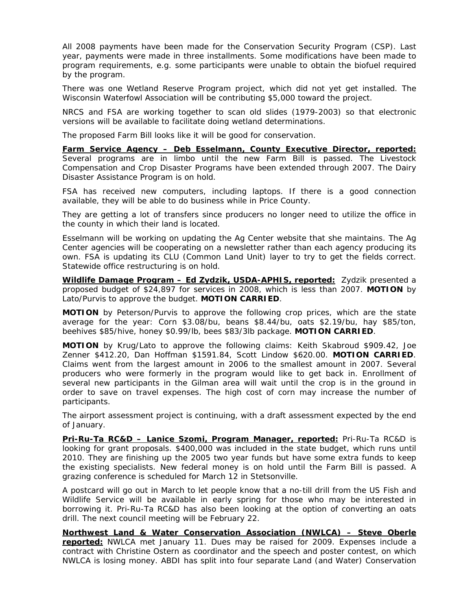All 2008 payments have been made for the Conservation Security Program (CSP). Last year, payments were made in three installments. Some modifications have been made to program requirements, e.g. some participants were unable to obtain the biofuel required by the program.

There was one Wetland Reserve Program project, which did not yet get installed. The Wisconsin Waterfowl Association will be contributing \$5,000 toward the project.

NRCS and FSA are working together to scan old slides (1979-2003) so that electronic versions will be available to facilitate doing wetland determinations.

The proposed Farm Bill looks like it will be good for conservation.

**Farm Service Agency – Deb Esselmann, County Executive Director, reported:** Several programs are in limbo until the new Farm Bill is passed. The Livestock Compensation and Crop Disaster Programs have been extended through 2007. The Dairy Disaster Assistance Program is on hold.

FSA has received new computers, including laptops. If there is a good connection available, they will be able to do business while in Price County.

They are getting a lot of transfers since producers no longer need to utilize the office in the county in which their land is located.

Esselmann will be working on updating the Ag Center website that she maintains. The Ag Center agencies will be cooperating on a newsletter rather than each agency producing its own. FSA is updating its CLU (Common Land Unit) layer to try to get the fields correct. Statewide office restructuring is on hold.

**Wildlife Damage Program – Ed Zydzik, USDA-APHIS, reported:** Zydzik presented a proposed budget of \$24,897 for services in 2008, which is less than 2007. **MOTION** by Lato/Purvis to approve the budget. **MOTION CARRIED**.

**MOTION** by Peterson/Purvis to approve the following crop prices, which are the state average for the year: Corn \$3.08/bu, beans \$8.44/bu, oats \$2.19/bu, hay \$85/ton, beehives \$85/hive, honey \$0.99/lb, bees \$83/3lb package. **MOTION CARRIED**.

**MOTION** by Krug/Lato to approve the following claims: Keith Skabroud \$909.42, Joe Zenner \$412.20, Dan Hoffman \$1591.84, Scott Lindow \$620.00. **MOTION CARRIED**. Claims went from the largest amount in 2006 to the smallest amount in 2007. Several producers who were formerly in the program would like to get back in. Enrollment of several new participants in the Gilman area will wait until the crop is in the ground in order to save on travel expenses. The high cost of corn may increase the number of participants.

The airport assessment project is continuing, with a draft assessment expected by the end of January.

**Pri-Ru-Ta RC&D – Lanice Szomi, Program Manager, reported:** Pri-Ru-Ta RC&D is looking for grant proposals. \$400,000 was included in the state budget, which runs until 2010. They are finishing up the 2005 two year funds but have some extra funds to keep the existing specialists. New federal money is on hold until the Farm Bill is passed. A grazing conference is scheduled for March 12 in Stetsonville.

A postcard will go out in March to let people know that a no-till drill from the US Fish and Wildlife Service will be available in early spring for those who may be interested in borrowing it. Pri-Ru-Ta RC&D has also been looking at the option of converting an oats drill. The next council meeting will be February 22.

**Northwest Land & Water Conservation Association (NWLCA) – Steve Oberle reported:** NWLCA met January 11. Dues may be raised for 2009. Expenses include a contract with Christine Ostern as coordinator and the speech and poster contest, on which NWLCA is losing money. ABDI has split into four separate Land (and Water) Conservation